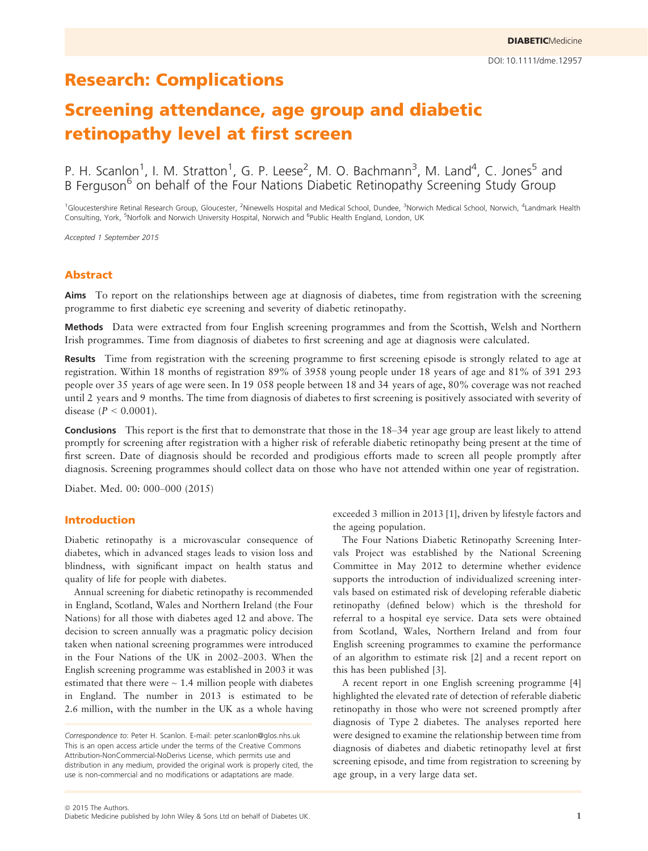## Research: Complications

# Screening attendance, age group and diabetic retinopathy level at first screen

P. H. Scanlon<sup>1</sup>, I. M. Stratton<sup>1</sup>, G. P. Leese<sup>2</sup>, M. O. Bachmann<sup>3</sup>, M. Land<sup>4</sup>, C. Jones<sup>5</sup> and B Ferguson<sup>6</sup> on behalf of the Four Nations Diabetic Retinopathy Screening Study Group

<sup>1</sup>Gloucestershire Retinal Research Group, Gloucester, <sup>2</sup>Ninewells Hospital and Medical School, Dundee, <sup>3</sup>Norwich Medical School, Norwich, <sup>4</sup>Landmark Health Consulting, York, <sup>5</sup>Norfolk and Norwich University Hospital, Norwich and <sup>6</sup>Public Health England, London, UK

Accepted 1 September 2015

## Abstract

Aims To report on the relationships between age at diagnosis of diabetes, time from registration with the screening programme to first diabetic eye screening and severity of diabetic retinopathy.

Methods Data were extracted from four English screening programmes and from the Scottish, Welsh and Northern Irish programmes. Time from diagnosis of diabetes to first screening and age at diagnosis were calculated.

Results Time from registration with the screening programme to first screening episode is strongly related to age at registration. Within 18 months of registration 89% of 3958 young people under 18 years of age and 81% of 391 293 people over 35 years of age were seen. In 19 058 people between 18 and 34 years of age, 80% coverage was not reached until 2 years and 9 months. The time from diagnosis of diabetes to first screening is positively associated with severity of disease ( $P < 0.0001$ ).

Conclusions This report is the first that to demonstrate that those in the 18–34 year age group are least likely to attend promptly for screening after registration with a higher risk of referable diabetic retinopathy being present at the time of first screen. Date of diagnosis should be recorded and prodigious efforts made to screen all people promptly after diagnosis. Screening programmes should collect data on those who have not attended within one year of registration.

Diabet. Med. 00: 000–000 (2015)

### Introduction

Diabetic retinopathy is a microvascular consequence of diabetes, which in advanced stages leads to vision loss and blindness, with significant impact on health status and quality of life for people with diabetes.

Annual screening for diabetic retinopathy is recommended in England, Scotland, Wales and Northern Ireland (the Four Nations) for all those with diabetes aged 12 and above. The decision to screen annually was a pragmatic policy decision taken when national screening programmes were introduced in the Four Nations of the UK in 2002–2003. When the English screening programme was established in 2003 it was estimated that there were  $\sim$  1.4 million people with diabetes in England. The number in 2013 is estimated to be 2.6 million, with the number in the UK as a whole having

 $©$  2015 The Authors. Diabetic Medicine published by John Wiley & Sons Ltd on behalf of Diabetes UK. 1

exceeded 3 million in 2013 [1], driven by lifestyle factors and the ageing population.

The Four Nations Diabetic Retinopathy Screening Intervals Project was established by the National Screening Committee in May 2012 to determine whether evidence supports the introduction of individualized screening intervals based on estimated risk of developing referable diabetic retinopathy (defined below) which is the threshold for referral to a hospital eye service. Data sets were obtained from Scotland, Wales, Northern Ireland and from four English screening programmes to examine the performance of an algorithm to estimate risk [2] and a recent report on this has been published [3].

A recent report in one English screening programme [4] highlighted the elevated rate of detection of referable diabetic retinopathy in those who were not screened promptly after diagnosis of Type 2 diabetes. The analyses reported here were designed to examine the relationship between time from diagnosis of diabetes and diabetic retinopathy level at first screening episode, and time from registration to screening by age group, in a very large data set.

Correspondence to: Peter H. Scanlon. E-mail: peter.scanlon@glos.nhs.uk This is an open access article under the terms of the [Creative Commons](http://creativecommons.org/licenses/by-nc-nd/4.0/) [Attribution-NonCommercial-NoDerivs](http://creativecommons.org/licenses/by-nc-nd/4.0/) License, which permits use and distribution in any medium, provided the original work is properly cited, the use is non-commercial and no modifications or adaptations are made.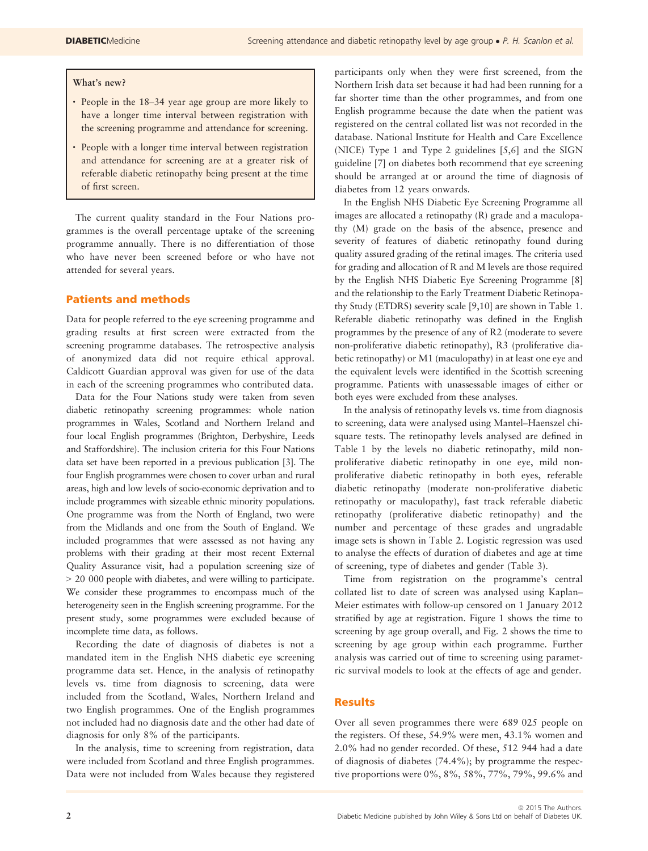#### What's new?

- People in the 18–34 year age group are more likely to have a longer time interval between registration with the screening programme and attendance for screening.
- People with a longer time interval between registration and attendance for screening are at a greater risk of referable diabetic retinopathy being present at the time of first screen.

The current quality standard in the Four Nations programmes is the overall percentage uptake of the screening programme annually. There is no differentiation of those who have never been screened before or who have not attended for several years.

## Patients and methods

Data for people referred to the eye screening programme and grading results at first screen were extracted from the screening programme databases. The retrospective analysis of anonymized data did not require ethical approval. Caldicott Guardian approval was given for use of the data in each of the screening programmes who contributed data.

Data for the Four Nations study were taken from seven diabetic retinopathy screening programmes: whole nation programmes in Wales, Scotland and Northern Ireland and four local English programmes (Brighton, Derbyshire, Leeds and Staffordshire). The inclusion criteria for this Four Nations data set have been reported in a previous publication [3]. The four English programmes were chosen to cover urban and rural areas, high and low levels of socio-economic deprivation and to include programmes with sizeable ethnic minority populations. One programme was from the North of England, two were from the Midlands and one from the South of England. We included programmes that were assessed as not having any problems with their grading at their most recent External Quality Assurance visit, had a population screening size of > 20 000 people with diabetes, and were willing to participate. We consider these programmes to encompass much of the heterogeneity seen in the English screening programme. For the present study, some programmes were excluded because of incomplete time data, as follows.

Recording the date of diagnosis of diabetes is not a mandated item in the English NHS diabetic eye screening programme data set. Hence, in the analysis of retinopathy levels vs. time from diagnosis to screening, data were included from the Scotland, Wales, Northern Ireland and two English programmes. One of the English programmes not included had no diagnosis date and the other had date of diagnosis for only 8% of the participants.

In the analysis, time to screening from registration, data were included from Scotland and three English programmes. Data were not included from Wales because they registered participants only when they were first screened, from the Northern Irish data set because it had had been running for a far shorter time than the other programmes, and from one English programme because the date when the patient was registered on the central collated list was not recorded in the database. National Institute for Health and Care Excellence (NICE) Type 1 and Type 2 guidelines [5,6] and the SIGN guideline [7] on diabetes both recommend that eye screening should be arranged at or around the time of diagnosis of diabetes from 12 years onwards.

In the English NHS Diabetic Eye Screening Programme all images are allocated a retinopathy (R) grade and a maculopathy (M) grade on the basis of the absence, presence and severity of features of diabetic retinopathy found during quality assured grading of the retinal images. The criteria used for grading and allocation of R and M levels are those required by the English NHS Diabetic Eye Screening Programme [8] and the relationship to the Early Treatment Diabetic Retinopathy Study (ETDRS) severity scale [9,10] are shown in Table 1. Referable diabetic retinopathy was defined in the English programmes by the presence of any of R2 (moderate to severe non-proliferative diabetic retinopathy), R3 (proliferative diabetic retinopathy) or M1 (maculopathy) in at least one eye and the equivalent levels were identified in the Scottish screening programme. Patients with unassessable images of either or both eyes were excluded from these analyses.

In the analysis of retinopathy levels vs. time from diagnosis to screening, data were analysed using Mantel–Haenszel chisquare tests. The retinopathy levels analysed are defined in Table 1 by the levels no diabetic retinopathy, mild nonproliferative diabetic retinopathy in one eye, mild nonproliferative diabetic retinopathy in both eyes, referable diabetic retinopathy (moderate non-proliferative diabetic retinopathy or maculopathy), fast track referable diabetic retinopathy (proliferative diabetic retinopathy) and the number and percentage of these grades and ungradable image sets is shown in Table 2. Logistic regression was used to analyse the effects of duration of diabetes and age at time of screening, type of diabetes and gender (Table 3).

Time from registration on the programme's central collated list to date of screen was analysed using Kaplan– Meier estimates with follow-up censored on 1 January 2012 stratified by age at registration. Figure 1 shows the time to screening by age group overall, and Fig. 2 shows the time to screening by age group within each programme. Further analysis was carried out of time to screening using parametric survival models to look at the effects of age and gender.

## Results

Over all seven programmes there were 689 025 people on the registers. Of these, 54.9% were men, 43.1% women and 2.0% had no gender recorded. Of these, 512 944 had a date of diagnosis of diabetes (74.4%); by programme the respective proportions were 0%, 8%, 58%, 77%, 79%, 99.6% and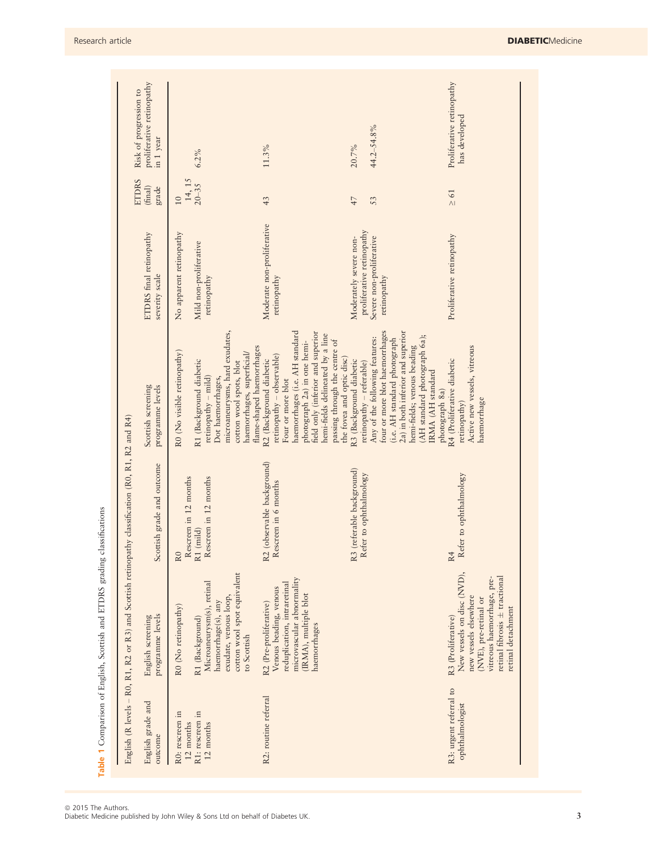|                                                              | English (R levels - R0, R1, R2 or R3) and Scottish retinopathy classification (R0, R1, R2 and R4)                                                                                       |                                                                                        |                                                                                                                                                                                                                                                                                   |                                                                                                |                                  |                                                                  |
|--------------------------------------------------------------|-----------------------------------------------------------------------------------------------------------------------------------------------------------------------------------------|----------------------------------------------------------------------------------------|-----------------------------------------------------------------------------------------------------------------------------------------------------------------------------------------------------------------------------------------------------------------------------------|------------------------------------------------------------------------------------------------|----------------------------------|------------------------------------------------------------------|
| English grade and<br>outcome                                 | programme levels<br>English screening                                                                                                                                                   | Scottish grade and outcome                                                             | programme levels<br>Scottish screening                                                                                                                                                                                                                                            | ETDRS final retinopathy<br>severity scale                                                      | <b>ETDRS</b><br>(final)<br>grade | proliferative retinopathy<br>Risk of progression to<br>in 1 year |
| R1: rescreen in<br>R0: rescreen in<br>12 months<br>12 months | cotton wool spot equivalent<br>Microaneurysm(s), retinal<br>exudate, venous loop,<br>haemorrhage(s), any<br>R0 (No retinopathy)<br>R1 (Background)<br>to Scottish                       | Rescreen in 12 months<br>Rescreen in 12 months<br>$\lambda$ 1 (mild)<br>R <sub>0</sub> | microaneurysms, hard exudates,<br>flame-shaped haemorrhages<br>R0 (No visible retinopathy)<br>haemorrhages, superficial/<br>R1 (Background diabetic<br>cotton wool spots, blot<br>$rctinopathy - mid)$<br>Dot haemorrhages,                                                       | No apparent retinopathy<br>Mild non-proliferative<br>retinopathy                               | 14, 15<br>$20 - 35$<br>10        | 6.2%                                                             |
| R2: routine referral                                         | microvascular abnormality<br>reduplication, intraretinal<br>Venous beading, venous<br>(IRMA), multiple blot<br>R2 (Pre-proliferative)<br>haemorrhages                                   | R2 (observable background)<br>Rescreen in 6 months                                     | haemorrhages (i.e. AH standard<br>field only (inferior and superior<br>hemi-fields delineated by a line<br>passing through the centre of<br>photograph 2a) in one hemi-<br>retinopathy - observable)<br>the fovea and optic disc)<br>R2 (Background diabetic<br>Four or more blot | Moderate non-proliferative<br>retinopathy                                                      | 43                               | 11.3%                                                            |
|                                                              |                                                                                                                                                                                         | R3 (referable background)<br>Refer to ophthalmology                                    | four or more blot haemorrhages<br>2a) in both inferior and superior<br>(AH standard photograph 6a);<br>Any of the following features:<br>(i.e. AH standard photograph<br>hemi-fields; venous beading<br>R3 (Background diabetic<br>retinopathy - referable)<br>IRMA (AH standard  | proliferative retinopathy<br>Severe non-proliferative<br>Moderately severe non-<br>retinopathy | 47<br>53                         | 44.2-54.8%<br>20.7%                                              |
| R3: urgent referral to<br>ophthalmologist                    | New vessels on disc (NVD),<br>retinal fibrosis ± tractional<br>vitreous haemorrhage, pre-<br>new vessels elsewhere<br>(NVE), pre-retinal or<br>retinal detachment<br>R3 (Proliferative) | Refer to ophthalmology<br>R4                                                           | Active new vessels, vitreous<br>R4 (Proliferative diabetic<br>photograph 8a)<br>haemorrhage<br>retinopathy)                                                                                                                                                                       | Proliferative retinopathy                                                                      | $\geq 61$                        | Proliferative retinopathy<br>has developed                       |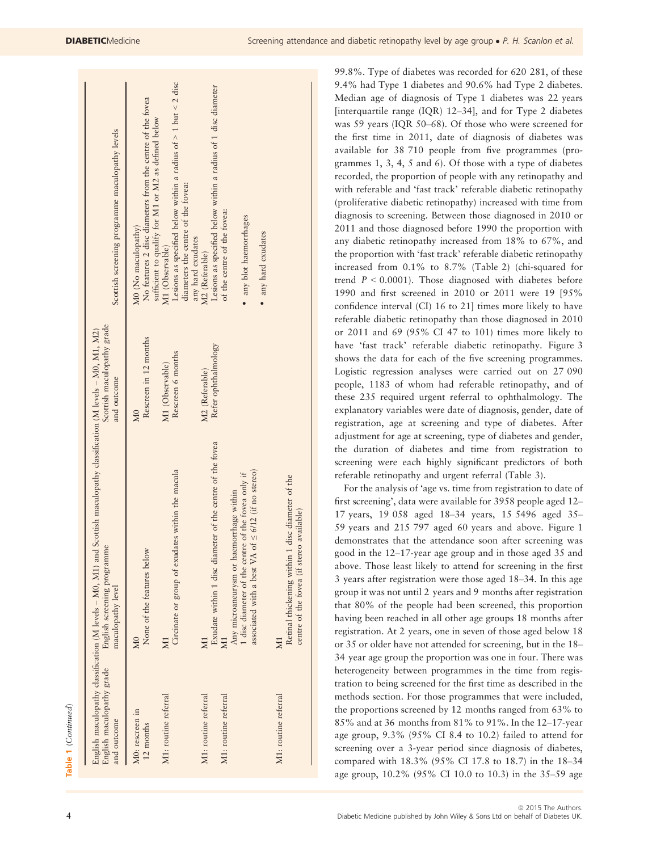| Scottish screening programme maculopathy levels                                                                                                                            | No features 2 disc diameters from the centre of the fovea<br>sufficient to qualify for M1 or M2 as defined below<br>M0 (No maculopathy) | Lesions as specified below within a radius of $> 1$ but < 2 disc<br>diameters the centre of the fovea:<br>M1 (Observable) | Lesions as specified below within a radius of 1 disc diameter<br>any hard exudates<br>M2 (Referable) | of the centre of the fovea: | any blot haemorrhages<br>• any hard exudates                                                                                                             |                                                                                               |
|----------------------------------------------------------------------------------------------------------------------------------------------------------------------------|-----------------------------------------------------------------------------------------------------------------------------------------|---------------------------------------------------------------------------------------------------------------------------|------------------------------------------------------------------------------------------------------|-----------------------------|----------------------------------------------------------------------------------------------------------------------------------------------------------|-----------------------------------------------------------------------------------------------|
| Scottish maculopathy grade<br>and outcome                                                                                                                                  | Rescreen in 12 months<br>M <sub>0</sub>                                                                                                 | Rescreen 6 months<br>M1 (Observable)                                                                                      | Refer ophthalmology<br>M2 (Referable)                                                                |                             |                                                                                                                                                          |                                                                                               |
| English maculopathy classification (M levels - M0, M1) and Scottish maculopathy classification (M levels - M0, M1, M2)<br>English screening programme<br>maculopathy level | below<br>None of the features<br>$_{\rm M0}$                                                                                            | Circinate or group of exudates within the macula<br>$\overline{\mathsf{x}}$                                               | Exudate within 1 disc diameter of the centre of the fovea                                            |                             | associated with a best VA of $\leq 6/12$ (if no stereo)<br>I disc diameter of the centre of the fovea only if<br>Any microaneurysm or haemorrhage within | Retinal thickening within 1 disc diameter of the<br>centre of the fovea (if stereo available) |
| English maculopathy grade<br>and outcome                                                                                                                                   | M0: rescreen in<br>12 months                                                                                                            | M1: routine referral                                                                                                      | M1: routine referral                                                                                 | M1: routine referral        |                                                                                                                                                          | M1: routine referral                                                                          |

99.8%. Type of diabetes was recorded for 620 281, of these 9.4% had Type 1 diabetes and 90.6% had Type 2 diabetes. Median age of diagnosis of Type 1 diabetes was 22 years [interquartile range (IQR) 12–34], and for Type 2 diabetes was 59 years (IQR 50–68). Of those who were screened for the first time in 2011, date of diagnosis of diabetes was available for 38 710 people from five programmes (programmes 1, 3, 4, 5 and 6). Of those with a type of diabetes recorded, the proportion of people with any retinopathy and with referable and 'fast track' referable diabetic retinopathy (proliferative diabetic retinopathy) increased with time from diagnosis to screening. Between those diagnosed in 2010 or 2011 and those diagnosed before 1990 the proportion with any diabetic retinopathy increased from 18% to 67%, and the proportion with 'fast track' referable diabetic retinopathy increased from 0.1% to 8.7% (Table 2) (chi-squared for trend  $P < 0.0001$ ). Those diagnosed with diabetes before 1990 and first screened in 2010 or 2011 were 19 [95% confidence interval (CI) 16 to 21] times more likely to have referable diabetic retinopathy than those diagnosed in 2010 or 2011 and 69 (95% CI 47 to 101) times more likely to have 'fast track' referable diabetic retinopathy. Figure 3 shows the data for each of the five screening programmes. Logistic regression analyses were carried out on 27 090 people, 1183 of whom had referable retinopathy, and of these 235 required urgent referral to ophthalmology. The explanatory variables were date of diagnosis, gender, date of registration, age at screening and type of diabetes. After adjustment for age at screening, type of diabetes and gender, the duration of diabetes and time from registration to screening were each highly significant predictors of both referable retinopathy and urgent referral (Table 3).

For the analysis of 'age vs. time from registration to date of first screening', data were available for 3958 people aged 12– 17 years, 19 058 aged 18–34 years, 15 5496 aged 35– 59 years and 215 797 aged 60 years and above. Figure 1 demonstrates that the attendance soon after screening was good in the 12–17-year age group and in those aged 35 and above. Those least likely to attend for screening in the first 3 years after registration were those aged 18–34. In this age group it was not until 2 years and 9 months after registration that 80% of the people had been screened, this proportion having been reached in all other age groups 18 months after registration. At 2 years, one in seven of those aged below 18 or 35 or older have not attended for screening, but in the 18– 34 year age group the proportion was one in four. There was heterogeneity between programmes in the time from registration to being screened for the first time as described in the methods section. For those programmes that were included, the proportions screened by 12 months ranged from 63% to 85% and at 36 months from 81% to 91%. In the 12–17-year age group, 9.3% (95% CI 8.4 to 10.2) failed to attend for screening over a 3-year period since diagnosis of diabetes, compared with 18.3% (95% CI 17.8 to 18.7) in the 18–34 age group, 10.2% (95% CI 10.0 to 10.3) in the 35–59 age

 $\overline{1}$ 

یر

 $\overline{1}$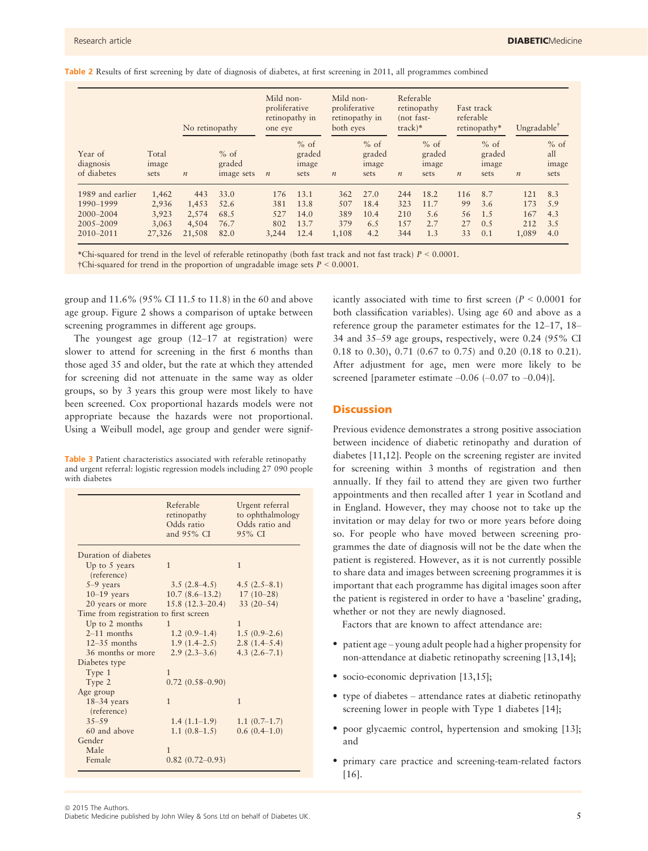|  |  |  |  |  |  | Table 2 Results of first screening by date of diagnosis of diabetes, at first screening in 2011, all programmes combined |
|--|--|--|--|--|--|--------------------------------------------------------------------------------------------------------------------------|
|--|--|--|--|--|--|--------------------------------------------------------------------------------------------------------------------------|

|                                     |                        | No retinopathy   |                                | Mild non-<br>proliferative<br>one eye | retinopathy in                    | Mild non-<br>proliferative<br>both eyes | retinopathy in                    | Referable<br>(not fast-<br>$track)*$ | retinopathy                       | Fast track<br>referable | retinopathy*                      | Ungradable <sup>†</sup> |                                |
|-------------------------------------|------------------------|------------------|--------------------------------|---------------------------------------|-----------------------------------|-----------------------------------------|-----------------------------------|--------------------------------------|-----------------------------------|-------------------------|-----------------------------------|-------------------------|--------------------------------|
| Year of<br>diagnosis<br>of diabetes | Total<br>image<br>sets | $\boldsymbol{n}$ | $%$ of<br>graded<br>image sets | $\boldsymbol{n}$                      | $%$ of<br>graded<br>image<br>sets | $\boldsymbol{n}$                        | $%$ of<br>graded<br>image<br>sets | $\boldsymbol{n}$                     | $%$ of<br>graded<br>image<br>sets | $\boldsymbol{n}$        | $%$ of<br>graded<br>image<br>sets | $\boldsymbol{n}$        | $%$ of<br>all<br>image<br>sets |
| 1989 and earlier                    | 1.462                  | 443              | 33.0                           | 176                                   | 13.1                              | 362                                     | 27.0                              | 244                                  | 18.2                              | 116                     | 8.7                               | 121                     | 8.3                            |
| 1990-1999                           | 2,936                  | 1,453            | 52.6                           | 381                                   | 13.8                              | 507                                     | 18.4                              | 323                                  | 11.7                              | 99                      | 3.6                               | 173                     | 5.9                            |
| 2000-2004                           | 3,923                  | 2,574            | 68.5                           | 527                                   | 14.0                              | 389                                     | 10.4                              | 210                                  | 5.6                               | 56                      | 1.5                               | 167                     | 4.3                            |
| 2005-2009                           | 3,063                  | 4.504            | 76.7                           | 802                                   | 13.7                              | 379                                     | 6.5                               | 157                                  | 2.7                               | 27                      | 0.5                               | 212                     | 3.5                            |
| $2010 - 2011$                       | 27,326                 | 21,508           | 82.0                           | 3,244                                 | 12.4                              | 1,108                                   | 4.2                               | 344                                  | 1.3                               | 33                      | 0.1                               | 1,089                   | 4.0                            |

\*Chi-squared for trend in the level of referable retinopathy (both fast track and not fast track)  $P < 0.0001$ .  $\dagger$ Chi-squared for trend in the proportion of ungradable image sets  $P < 0.0001$ .

group and 11.6% (95% CI 11.5 to 11.8) in the 60 and above age group. Figure 2 shows a comparison of uptake between screening programmes in different age groups.

The youngest age group (12–17 at registration) were slower to attend for screening in the first 6 months than those aged 35 and older, but the rate at which they attended for screening did not attenuate in the same way as older groups, so by 3 years this group were most likely to have been screened. Cox proportional hazards models were not appropriate because the hazards were not proportional. Using a Weibull model, age group and gender were signif-

Table 3 Patient characteristics associated with referable retinopathy and urgent referral: logistic regression models including 27 090 people with diabetes

|                                        | Referable<br>retinopathy<br>Odds ratio<br>and $95\%$ CI | Urgent referral<br>to ophthalmology<br>Odds ratio and<br>$9.5\%$ CI |
|----------------------------------------|---------------------------------------------------------|---------------------------------------------------------------------|
|                                        |                                                         |                                                                     |
| Duration of diabetes                   |                                                         |                                                                     |
| Up to 5 years                          | 1                                                       | $\mathbf{1}$                                                        |
| (reference)                            |                                                         |                                                                     |
| $5-9$ years                            | $3.5(2.8-4.5)$                                          | $4.5(2.5-8.1)$                                                      |
| $10-19$ years                          | $10.7(8.6-13.2)$                                        | $17(10-28)$                                                         |
| 20 years or more                       | $15.8(12.3-20.4)$                                       | $33(20-54)$                                                         |
| Time from registration to first screen |                                                         |                                                                     |
| Up to 2 months                         | 1                                                       | $\mathbf{1}$                                                        |
| $2-11$ months                          | $1.2(0.9-1.4)$                                          | $1.5(0.9-2.6)$                                                      |
| $12-35$ months                         | $1.9(1.4-2.5)$                                          | $2.8(1.4 - 5.4)$                                                    |
| 36 months or more                      | $2.9(2.3-3.6)$                                          | 4.3 $(2.6 - 7.1)$                                                   |
| Diabetes type                          |                                                         |                                                                     |
| Type 1                                 | $\mathbf{1}$                                            |                                                                     |
| Type 2                                 | $0.72(0.58 - 0.90)$                                     |                                                                     |
| Age group                              |                                                         |                                                                     |
| $18-34$ years                          | $\mathbf{1}$                                            | $\mathbf{1}$                                                        |
| (reference)                            |                                                         |                                                                     |
| $35 - 59$                              | $1.4(1.1-1.9)$                                          | $1.1(0.7-1.7)$                                                      |
| 60 and above                           | $1.1(0.8-1.5)$                                          | $0.6(0.4-1.0)$                                                      |
| Gender                                 |                                                         |                                                                     |
| Male                                   | $\mathbf{1}$                                            |                                                                     |
| Female                                 | $0.82(0.72 - 0.93)$                                     |                                                                     |

icantly associated with time to first screen ( $P < 0.0001$  for both classification variables). Using age 60 and above as a reference group the parameter estimates for the 12–17, 18– 34 and 35–59 age groups, respectively, were 0.24 (95% CI 0.18 to 0.30), 0.71 (0.67 to 0.75) and 0.20 (0.18 to 0.21). After adjustment for age, men were more likely to be screened [parameter estimate  $-0.06$   $(-0.07$  to  $-0.04$ ].

## Discussion

Previous evidence demonstrates a strong positive association between incidence of diabetic retinopathy and duration of diabetes [11,12]. People on the screening register are invited for screening within 3 months of registration and then annually. If they fail to attend they are given two further appointments and then recalled after 1 year in Scotland and in England. However, they may choose not to take up the invitation or may delay for two or more years before doing so. For people who have moved between screening programmes the date of diagnosis will not be the date when the patient is registered. However, as it is not currently possible to share data and images between screening programmes it is important that each programme has digital images soon after the patient is registered in order to have a 'baseline' grading, whether or not they are newly diagnosed.

Factors that are known to affect attendance are:

- patient age young adult people had a higher propensity for non-attendance at diabetic retinopathy screening [13,14];
- socio-economic deprivation [13,15];
- type of diabetes attendance rates at diabetic retinopathy screening lower in people with Type 1 diabetes [14];
- poor glycaemic control, hypertension and smoking [13]; and
- primary care practice and screening-team-related factors [16].

Diabetic Medicine published by John Wiley & Sons Ltd on behalf of Diabetes UK. 5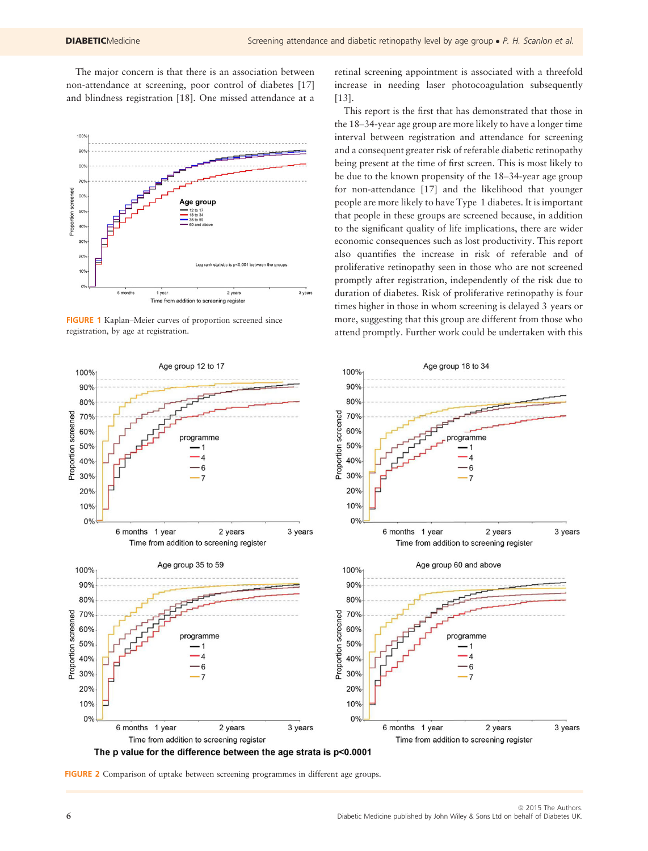The major concern is that there is an association between non-attendance at screening, poor control of diabetes [17] and blindness registration [18]. One missed attendance at a



FIGURE 1 Kaplan–Meier curves of proportion screened since registration, by age at registration.



retinal screening appointment is associated with a threefold increase in needing laser photocoagulation subsequently [13].

This report is the first that has demonstrated that those in the 18–34-year age group are more likely to have a longer time interval between registration and attendance for screening and a consequent greater risk of referable diabetic retinopathy being present at the time of first screen. This is most likely to be due to the known propensity of the 18–34-year age group for non-attendance [17] and the likelihood that younger people are more likely to have Type 1 diabetes. It is important that people in these groups are screened because, in addition to the significant quality of life implications, there are wider economic consequences such as lost productivity. This report also quantifies the increase in risk of referable and of proliferative retinopathy seen in those who are not screened promptly after registration, independently of the risk due to duration of diabetes. Risk of proliferative retinopathy is four times higher in those in whom screening is delayed 3 years or more, suggesting that this group are different from those who attend promptly. Further work could be undertaken with this

ogramme

. 1  $\overline{A}$ 

6

 $\overline{7}$ 

 $\Delta$ 

6

2 years

2 years

3 years

3 years

FIGURE 2 Comparison of uptake between screening programmes in different age groups.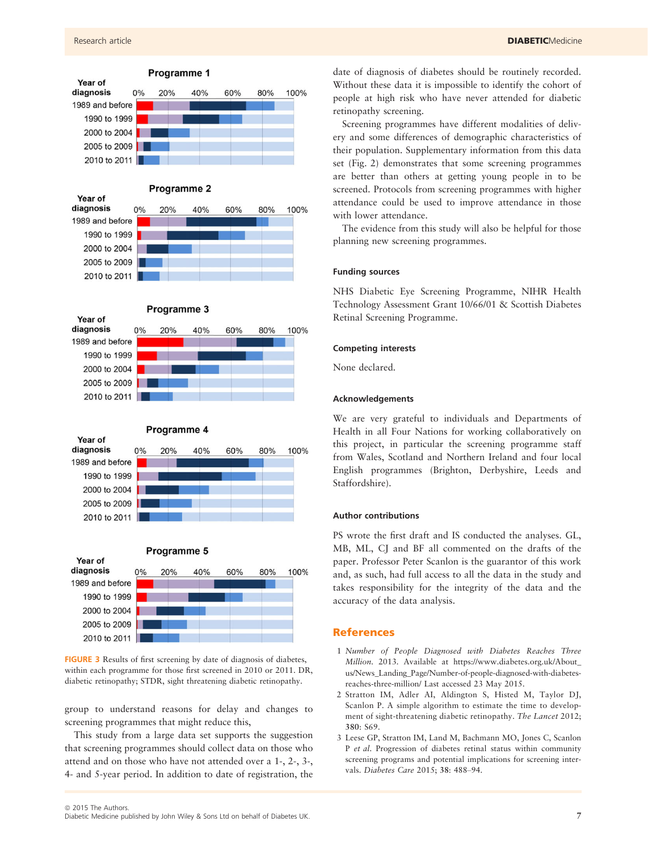



#### Programme 5



FIGURE 3 Results of first screening by date of diagnosis of diabetes, within each programme for those first screened in 2010 or 2011. DR, diabetic retinopathy; STDR, sight threatening diabetic retinopathy.

group to understand reasons for delay and changes to screening programmes that might reduce this,

This study from a large data set supports the suggestion that screening programmes should collect data on those who attend and on those who have not attended over a 1-, 2-, 3-, 4- and 5-year period. In addition to date of registration, the date of diagnosis of diabetes should be routinely recorded. Without these data it is impossible to identify the cohort of people at high risk who have never attended for diabetic retinopathy screening.

Screening programmes have different modalities of delivery and some differences of demographic characteristics of their population. Supplementary information from this data set (Fig. 2) demonstrates that some screening programmes are better than others at getting young people in to be screened. Protocols from screening programmes with higher attendance could be used to improve attendance in those with lower attendance.

The evidence from this study will also be helpful for those planning new screening programmes.

#### Funding sources

NHS Diabetic Eye Screening Programme, NIHR Health Technology Assessment Grant 10/66/01 & Scottish Diabetes Retinal Screening Programme.

#### Competing interests

None declared.

#### Acknowledgements

We are very grateful to individuals and Departments of Health in all Four Nations for working collaboratively on this project, in particular the screening programme staff from Wales, Scotland and Northern Ireland and four local English programmes (Brighton, Derbyshire, Leeds and Staffordshire).

#### Author contributions

PS wrote the first draft and IS conducted the analyses. GL, MB, ML, CJ and BF all commented on the drafts of the paper. Professor Peter Scanlon is the guarantor of this work and, as such, had full access to all the data in the study and takes responsibility for the integrity of the data and the accuracy of the data analysis.

## References

- 1 Number of People Diagnosed with Diabetes Reaches Three Million. 2013. Available at [https://www.diabetes.org.uk/About\\_](https://www.diabetes.org.uk/About_us/News_Landing_Page/Number-of-people-diagnosed-with-diabetes-reaches-three-million/) [us/News\\_Landing\\_Page/Number-of-people-diagnosed-with-diabetes](https://www.diabetes.org.uk/About_us/News_Landing_Page/Number-of-people-diagnosed-with-diabetes-reaches-three-million/)[reaches-three-million/](https://www.diabetes.org.uk/About_us/News_Landing_Page/Number-of-people-diagnosed-with-diabetes-reaches-three-million/) Last accessed 23 May 2015.
- 2 Stratton IM, Adler AI, Aldington S, Histed M, Taylor DJ, Scanlon P. A simple algorithm to estimate the time to development of sight-threatening diabetic retinopathy. The Lancet 2012; 380: S69.
- 3 Leese GP, Stratton IM, Land M, Bachmann MO, Jones C, Scanlon P et al. Progression of diabetes retinal status within community screening programs and potential implications for screening intervals. Diabetes Care 2015; 38: 488–94.